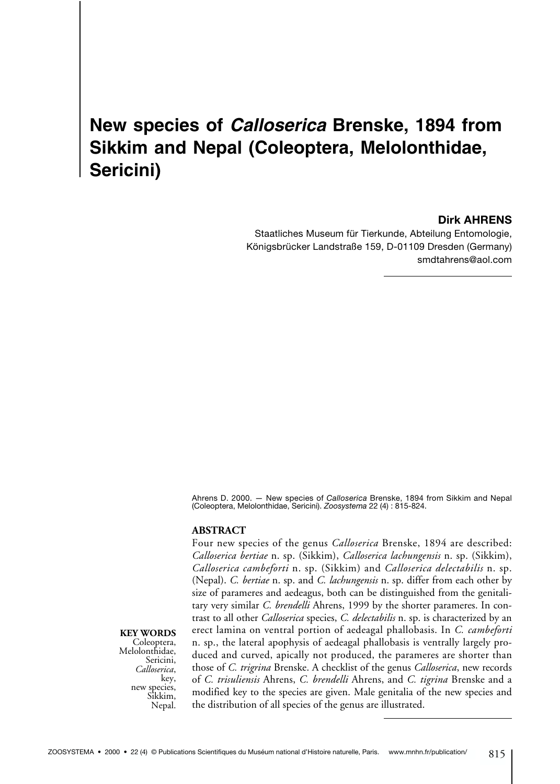# **New species of** *Calloserica* **Brenske, 1894 from Sikkim and Nepal (Coleoptera, Melolonthidae, Sericini)**

**Dirk AHRENS**

Staatliches Museum für Tierkunde, Abteilung Entomologie, Königsbrücker Landstraße 159, D-01109 Dresden (Germany) smdtahrens@aol.com

Ahrens D. 2000. — New species of *Calloserica* Brenske, 1894 from Sikkim and Nepal (Coleoptera, Melolonthidae, Sericini). *Zoosystema* 22 (4) : 815-824.

## **ABSTRACT**

Four new species of the genus *Calloserica* Brenske, 1894 are described: *Calloserica bertiae* n. sp. (Sikkim), *Calloserica lachungensis* n. sp. (Sikkim), *Calloserica cambeforti* n. sp. (Sikkim) and *Calloserica delectabilis* n. sp. (Nepal). *C. bertiae* n. sp. and *C. lachungensis* n. sp. differ from each other by size of parameres and aedeagus, both can be distinguished from the genitalitary very similar *C. brendelli* Ahrens, 1999 by the shorter parameres. In contrast to all other *Calloserica* species, *C. delectabilis* n. sp. is characterized by an erect lamina on ventral portion of aedeagal phallobasis. In *C. cambeforti* n. sp., the lateral apophysis of aedeagal phallobasis is ventrally largely produced and curved, apically not produced, the parameres are shorter than those of *C. trigrina* Brenske. A checklist of the genus *Calloserica*, new records of *C. trisuliensis* Ahrens, *C. brendelli* Ahrens, and *C. tigrina* Brenske and a modified key to the species are given. Male genitalia of the new species and the distribution of all species of the genus are illustrated.

# **KEY WORDS**<br>Coleoptera,

Melolonthidae, Sericini, *Calloserica*, key, new species,<br>Sikkim, Nepal.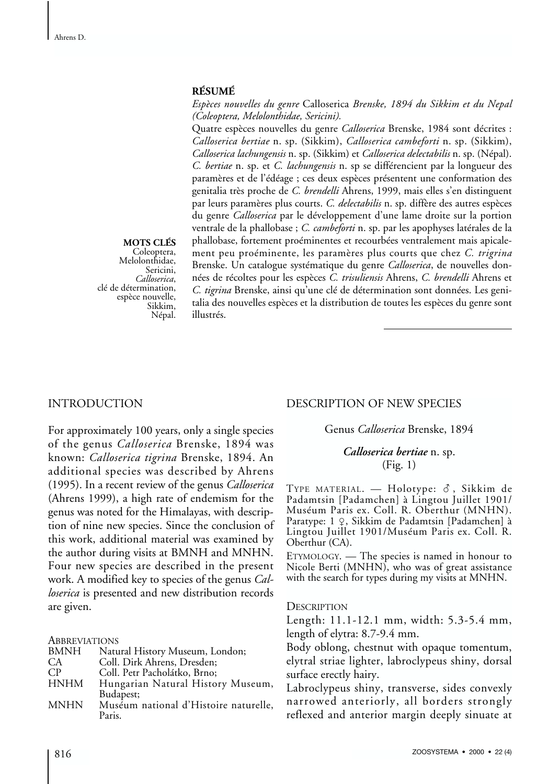### **RÉSUMÉ**

*Espèces nouvelles du genre* Calloserica *Brenske, 1894 du Sikkim et du Nepal (Coleoptera, Melolonthidae, Sericini).*

Quatre espèces nouvelles du genre *Calloserica* Brenske, 1984 sont décrites : *Calloserica bertiae* n. sp. (Sikkim), *Calloserica cambeforti* n. sp. (Sikkim), *Calloserica lachungensis* n. sp. (Sikkim) et *Calloserica delectabilis* n. sp. (Népal). *C. bertiae* n. sp. et *C. lachungensis* n. sp se différencient par la longueur des paramères et de l'édéage ; ces deux espèces présentent une conformation des genitalia très proche de *C. brendelli* Ahrens, 1999, mais elles s'en distinguent par leurs paramères plus courts. *C. delectabilis* n. sp. diffère des autres espèces du genre *Calloserica* par le développement d'une lame droite sur la portion ventrale de la phallobase ; *C. cambeforti* n. sp. par les apophyses latérales de la phallobase, fortement proéminentes et recourbées ventralement mais apicalement peu proéminente, les paramères plus courts que chez *C. trigrina* Brenske. Un catalogue systématique du genre *Calloserica*, de nouvelles données de récoltes pour les espèces *C. trisuliensis* Ahrens, *C. brendelli* Ahrens et *C. tigrina* Brenske, ainsi qu'une clé de détermination sont données. Les genitalia des nouvelles espèces et la distribution de toutes les espèces du genre sont illustrés.

# **MOTS CLÉS**

Melolonthidae, Sericini,<br>Calloserica, *Calloserica*, clé de détermination, espèce nouvelle, Sikkim, Népal.

# INTRODUCTION

For approximately 100 years, only a single species of the genus *Calloserica* Brenske, 1894 was known: *Calloserica tigrina* Brenske, 1894. An additional species was described by Ahrens (1995). In a recent review of the genus *Calloserica* (Ahrens 1999), a high rate of endemism for the genus was noted for the Himalayas, with description of nine new species. Since the conclusion of this work, additional material was examined by the author during visits at BMNH and MNHN. Four new species are described in the present work. A modified key to species of the genus *Calloserica* is presented and new distribution records are given.

**ABBREVIATIONS** 

| BMNH | Natural History Museum, London; |
|------|---------------------------------|
| CA   | Coll. Dirk Ahrens, Dresden;     |
| CР   | Coll. Petr Pacholátko, Brno;    |

- HNHM Hungarian Natural History Museum, Budapest;
- MNHN Muséum national d'Histoire naturelle, Paris.

# DESCRIPTION OF NEW SPECIES

## Genus *Calloserica* Brenske, 1894

## *Calloserica bertiae* n. sp. (Fig. 1)

TYPE MATERIAL.  $-$  Holotype:  $\delta$ , Sikkim de Padamtsin [Padamchen] à Lingtou Juillet 1901/ Muséum Paris ex. Coll. R. Oberthur (MNHN). Paratype: 1 ♀, Sikkim de Padamtsin [Padamchen] à Lingtou Juillet 1901/Muséum Paris ex. Coll. R. Oberthur (CA).

ETYMOLOGY. — The species is named in honour to Nicole Berti (MNHN), who was of great assistance with the search for types during my visits at MNHN.

### **DESCRIPTION**

Length: 11.1-12.1 mm, width: 5.3-5.4 mm, length of elytra: 8.7-9.4 mm.

Body oblong, chestnut with opaque tomentum, elytral striae lighter, labroclypeus shiny, dorsal surface erectly hairy.

Labroclypeus shiny, transverse, sides convexly narrowed anteriorly, all borders strongly reflexed and anterior margin deeply sinuate at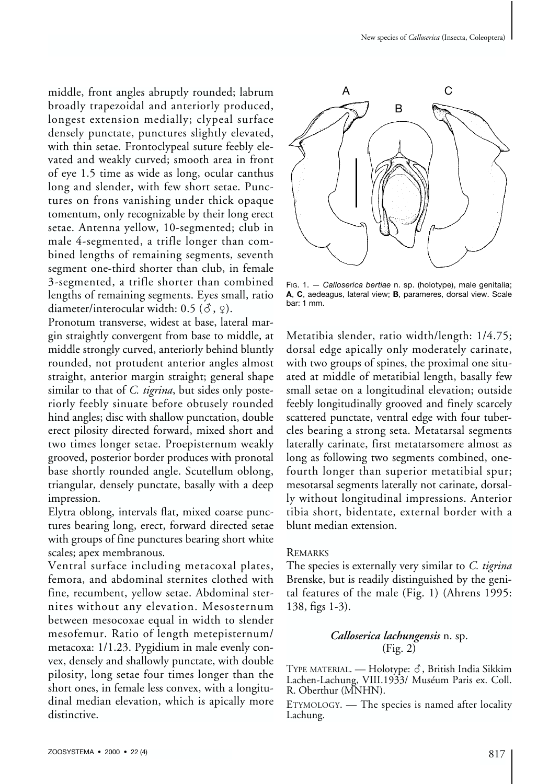middle, front angles abruptly rounded; labrum broadly trapezoidal and anteriorly produced, longest extension medially; clypeal surface densely punctate, punctures slightly elevated, with thin setae. Frontoclypeal suture feebly elevated and weakly curved; smooth area in front of eye 1.5 time as wide as long, ocular canthus long and slender, with few short setae. Punctures on frons vanishing under thick opaque tomentum, only recognizable by their long erect setae. Antenna yellow, 10-segmented; club in male 4-segmented, a trifle longer than combined lengths of remaining segments, seventh segment one-third shorter than club, in female 3-segmented, a trifle shorter than combined lengths of remaining segments. Eyes small, ratio diameter/interocular width:  $0.5$  ( $\delta$ ,  $\varphi$ ).

Pronotum transverse, widest at base, lateral margin straightly convergent from base to middle, at middle strongly curved, anteriorly behind bluntly rounded, not protudent anterior angles almost straight, anterior margin straight; general shape similar to that of *C. tigrina*, but sides only posteriorly feebly sinuate before obtusely rounded hind angles; disc with shallow punctation, double erect pilosity directed forward, mixed short and two times longer setae. Proepisternum weakly grooved, posterior border produces with pronotal base shortly rounded angle. Scutellum oblong, triangular, densely punctate, basally with a deep impression.

Elytra oblong, intervals flat, mixed coarse punctures bearing long, erect, forward directed setae with groups of fine punctures bearing short white scales; apex membranous.

Ventral surface including metacoxal plates, femora, and abdominal sternites clothed with fine, recumbent, yellow setae. Abdominal sternites without any elevation. Mesosternum between mesocoxae equal in width to slender mesofemur. Ratio of length metepisternum/ metacoxa: 1/1.23. Pygidium in male evenly convex, densely and shallowly punctate, with double pilosity, long setae four times longer than the short ones, in female less convex, with a longitudinal median elevation, which is apically more distinctive.



FIG. 1. — *Calloserica bertiae* n. sp. (holotype), male genitalia; **A**, **C**, aedeagus, lateral view; **B**, parameres, dorsal view. Scale bar: 1 mm.

Metatibia slender, ratio width/length: 1/4.75; dorsal edge apically only moderately carinate, with two groups of spines, the proximal one situated at middle of metatibial length, basally few small setae on a longitudinal elevation; outside feebly longitudinally grooved and finely scarcely scattered punctate, ventral edge with four tubercles bearing a strong seta. Metatarsal segments laterally carinate, first metatarsomere almost as long as following two segments combined, onefourth longer than superior metatibial spur; mesotarsal segments laterally not carinate, dorsally without longitudinal impressions. Anterior tibia short, bidentate, external border with a blunt median extension.

### REMARKS

The species is externally very similar to *C. tigrina* Brenske, but is readily distinguished by the genital features of the male (Fig. 1) (Ahrens 1995: 138, figs 1-3).

# *Calloserica lachungensis* n. sp. (Fig. 2)

TYPE MATERIAL. - Holotype:  $\delta$ , British India Sikkim Lachen-Lachung, VIII.1933/ Muséum Paris ex. Coll. R. Oberthur (MNHN).

ETYMOLOGY. — The species is named after locality Lachung.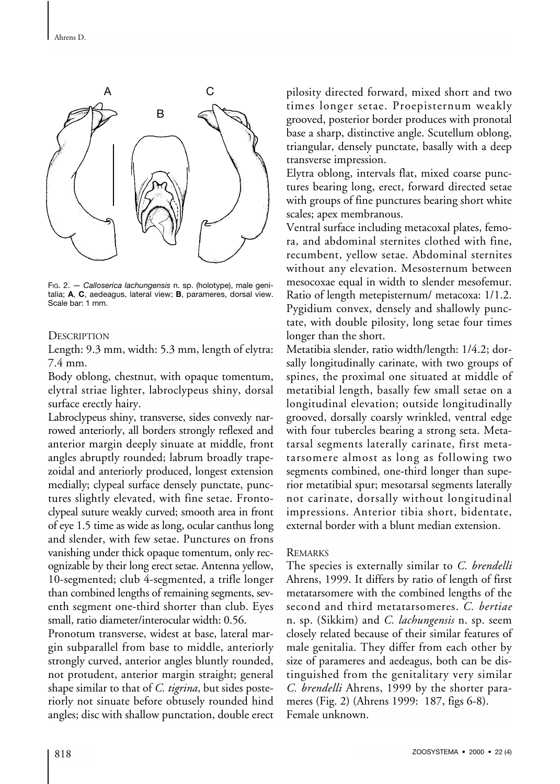

FIG. 2. — *Calloserica lachungensis* n. sp. (holotype), male genitalia; **A**, **C**, aedeagus, lateral view; **B**, parameres, dorsal view. Scale bar: 1 mm.

# **DESCRIPTION**

Length: 9.3 mm, width: 5.3 mm, length of elytra: 7.4 mm.

Body oblong, chestnut, with opaque tomentum, elytral striae lighter, labroclypeus shiny, dorsal surface erectly hairy.

Labroclypeus shiny, transverse, sides convexly narrowed anteriorly, all borders strongly reflexed and anterior margin deeply sinuate at middle, front angles abruptly rounded; labrum broadly trapezoidal and anteriorly produced, longest extension medially; clypeal surface densely punctate, punctures slightly elevated, with fine setae. Frontoclypeal suture weakly curved; smooth area in front of eye 1.5 time as wide as long, ocular canthus long and slender, with few setae. Punctures on frons vanishing under thick opaque tomentum, only recognizable by their long erect setae. Antenna yellow, 10-segmented; club 4-segmented, a trifle longer than combined lengths of remaining segments, seventh segment one-third shorter than club. Eyes small, ratio diameter/interocular width: 0.56.

Pronotum transverse, widest at base, lateral margin subparallel from base to middle, anteriorly strongly curved, anterior angles bluntly rounded, not protudent, anterior margin straight; general shape similar to that of *C. tigrina*, but sides posteriorly not sinuate before obtusely rounded hind angles; disc with shallow punctation, double erect

pilosity directed forward, mixed short and two times longer setae. Proepisternum weakly grooved, posterior border produces with pronotal base a sharp, distinctive angle. Scutellum oblong, triangular, densely punctate, basally with a deep transverse impression.

Elytra oblong, intervals flat, mixed coarse punctures bearing long, erect, forward directed setae with groups of fine punctures bearing short white scales; apex membranous.

Ventral surface including metacoxal plates, femora, and abdominal sternites clothed with fine, recumbent, yellow setae. Abdominal sternites without any elevation. Mesosternum between mesocoxae equal in width to slender mesofemur. Ratio of length metepisternum/ metacoxa: 1/1.2. Pygidium convex, densely and shallowly punctate, with double pilosity, long setae four times longer than the short.

Metatibia slender, ratio width/length: 1/4.2; dorsally longitudinally carinate, with two groups of spines, the proximal one situated at middle of metatibial length, basally few small setae on a longitudinal elevation; outside longitudinally grooved, dorsally coarsly wrinkled, ventral edge with four tubercles bearing a strong seta. Metatarsal segments laterally carinate, first metatarsomere almost as long as following two segments combined, one-third longer than superior metatibial spur; mesotarsal segments laterally not carinate, dorsally without longitudinal impressions. Anterior tibia short, bidentate, external border with a blunt median extension.

### REMARKS

The species is externally similar to *C. brendelli* Ahrens, 1999. It differs by ratio of length of first metatarsomere with the combined lengths of the second and third metatarsomeres. *C. bertiae* n. sp. (Sikkim) and *C. lachungensis* n. sp. seem closely related because of their similar features of male genitalia. They differ from each other by size of parameres and aedeagus, both can be distinguished from the genitalitary very similar *C. brendelli* Ahrens, 1999 by the shorter parameres (Fig. 2) (Ahrens 1999: 187, figs 6-8). Female unknown.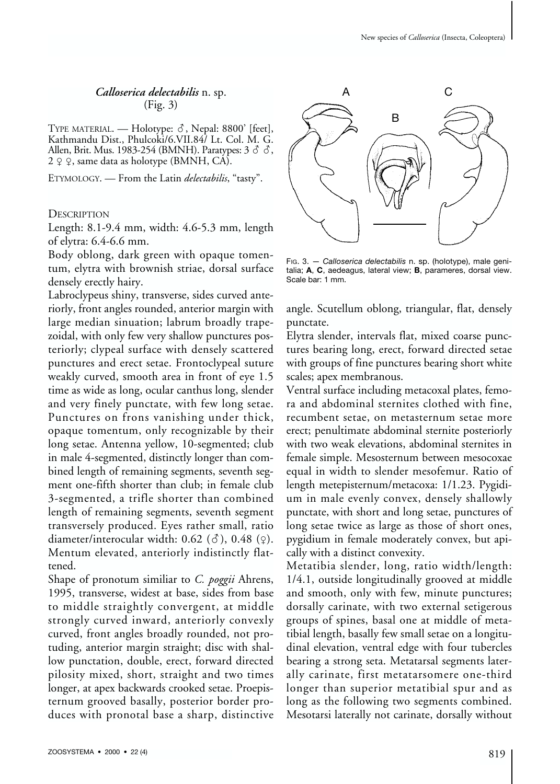# *Calloserica delectabilis* n. sp. (Fig. 3)

TYPE MATERIAL. — Holotype:  $\delta$ , Nepal: 8800' [feet], Kathmandu Dist., Phulcoki/6.VII.84/ Lt. Col. M. G. Allen, Brit. Mus. 1983-254 (BMNH). Paratypes:  $3 \circ \hat{\circ}$ , 2 ♀ ♀, same data as holotype (BMNH, CA).

ETYMOLOGY. — From the Latin *delectabilis*, "tasty".

**DESCRIPTION** 

Length: 8.1-9.4 mm, width: 4.6-5.3 mm, length of elytra: 6.4-6.6 mm.

Body oblong, dark green with opaque tomentum, elytra with brownish striae, dorsal surface densely erectly hairy.

Labroclypeus shiny, transverse, sides curved anteriorly, front angles rounded, anterior margin with large median sinuation; labrum broadly trapezoidal, with only few very shallow punctures posteriorly; clypeal surface with densely scattered punctures and erect setae. Frontoclypeal suture weakly curved, smooth area in front of eye 1.5 time as wide as long, ocular canthus long, slender and very finely punctate, with few long setae. Punctures on frons vanishing under thick, opaque tomentum, only recognizable by their long setae. Antenna yellow, 10-segmented; club in male 4-segmented, distinctly longer than combined length of remaining segments, seventh segment one-fifth shorter than club; in female club 3-segmented, a trifle shorter than combined length of remaining segments, seventh segment transversely produced. Eyes rather small, ratio diameter/interocular width:  $0.62$  ( $\delta$ ),  $0.48$  ( $\circ$ ). Mentum elevated, anteriorly indistinctly flattened.

Shape of pronotum similiar to *C. poggii* Ahrens, 1995, transverse, widest at base, sides from base to middle straightly convergent, at middle strongly curved inward, anteriorly convexly curved, front angles broadly rounded, not protuding, anterior margin straight; disc with shallow punctation, double, erect, forward directed pilosity mixed, short, straight and two times longer, at apex backwards crooked setae. Proepisternum grooved basally, posterior border produces with pronotal base a sharp, distinctive



FIG. 3. — *Calloserica delectabilis* n. sp. (holotype), male genitalia; **A**, **C**, aedeagus, lateral view; **B**, parameres, dorsal view. Scale bar: 1 mm.

angle. Scutellum oblong, triangular, flat, densely punctate.

Elytra slender, intervals flat, mixed coarse punctures bearing long, erect, forward directed setae with groups of fine punctures bearing short white scales; apex membranous.

Ventral surface including metacoxal plates, femora and abdominal sternites clothed with fine, recumbent setae, on metasternum setae more erect; penultimate abdominal sternite posteriorly with two weak elevations, abdominal sternites in female simple. Mesosternum between mesocoxae equal in width to slender mesofemur. Ratio of length metepisternum/metacoxa: 1/1.23. Pygidium in male evenly convex, densely shallowly punctate, with short and long setae, punctures of long setae twice as large as those of short ones, pygidium in female moderately convex, but apically with a distinct convexity.

Metatibia slender, long, ratio width/length: 1/4.1, outside longitudinally grooved at middle and smooth, only with few, minute punctures; dorsally carinate, with two external setigerous groups of spines, basal one at middle of metatibial length, basally few small setae on a longitudinal elevation, ventral edge with four tubercles bearing a strong seta. Metatarsal segments laterally carinate, first metatarsomere one-third longer than superior metatibial spur and as long as the following two segments combined. Mesotarsi laterally not carinate, dorsally without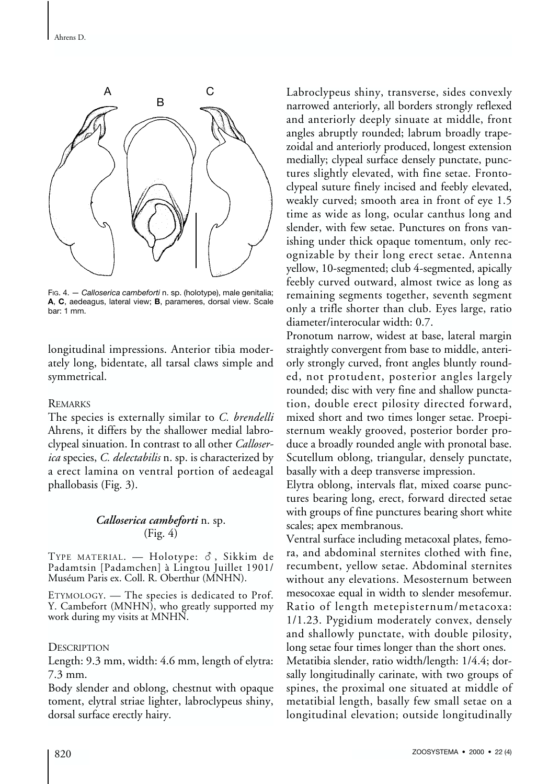

FIG. 4. — *Calloserica cambeforti* n. sp. (holotype), male genitalia; **A**, **C**, aedeagus, lateral view; **B**, parameres, dorsal view. Scale bar: 1 mm.

longitudinal impressions. Anterior tibia moderately long, bidentate, all tarsal claws simple and symmetrical.

# REMARKS

The species is externally similar to *C. brendelli* Ahrens, it differs by the shallower medial labroclypeal sinuation. In contrast to all other *Calloserica* species, *C. delectabilis* n. sp. is characterized by a erect lamina on ventral portion of aedeagal phallobasis (Fig. 3).

# *Calloserica cambeforti* n. sp. (Fig. 4)

TYPE MATERIAL.  $-$  Holotype:  $\delta$ , Sikkim de Padamtsin [Padamchen] à Lingtou Juillet 1901/ Muséum Paris ex. Coll. R. Oberthur (MNHN).

ETYMOLOGY. — The species is dedicated to Prof. Y. Cambefort (MNHN), who greatly supported my work during my visits at MNHN.

**DESCRIPTION** 

Length: 9.3 mm, width: 4.6 mm, length of elytra: 7.3 mm.

Body slender and oblong, chestnut with opaque toment, elytral striae lighter, labroclypeus shiny, dorsal surface erectly hairy.

Labroclypeus shiny, transverse, sides convexly narrowed anteriorly, all borders strongly reflexed and anteriorly deeply sinuate at middle, front angles abruptly rounded; labrum broadly trapezoidal and anteriorly produced, longest extension medially; clypeal surface densely punctate, punctures slightly elevated, with fine setae. Frontoclypeal suture finely incised and feebly elevated, weakly curved; smooth area in front of eye 1.5 time as wide as long, ocular canthus long and slender, with few setae. Punctures on frons vanishing under thick opaque tomentum, only recognizable by their long erect setae. Antenna yellow, 10-segmented; club 4-segmented, apically feebly curved outward, almost twice as long as remaining segments together, seventh segment only a trifle shorter than club. Eyes large, ratio diameter/interocular width: 0.7.

Pronotum narrow, widest at base, lateral margin straightly convergent from base to middle, anteriorly strongly curved, front angles bluntly rounded, not protudent, posterior angles largely rounded; disc with very fine and shallow punctation, double erect pilosity directed forward, mixed short and two times longer setae. Proepisternum weakly grooved, posterior border produce a broadly rounded angle with pronotal base. Scutellum oblong, triangular, densely punctate, basally with a deep transverse impression.

Elytra oblong, intervals flat, mixed coarse punctures bearing long, erect, forward directed setae with groups of fine punctures bearing short white scales; apex membranous.

Ventral surface including metacoxal plates, femora, and abdominal sternites clothed with fine, recumbent, yellow setae. Abdominal sternites without any elevations. Mesosternum between mesocoxae equal in width to slender mesofemur. Ratio of length metepisternum/metacoxa: 1/1.23. Pygidium moderately convex, densely and shallowly punctate, with double pilosity, long setae four times longer than the short ones. Metatibia slender, ratio width/length: 1/4.4; dorsally longitudinally carinate, with two groups of spines, the proximal one situated at middle of metatibial length, basally few small setae on a longitudinal elevation; outside longitudinally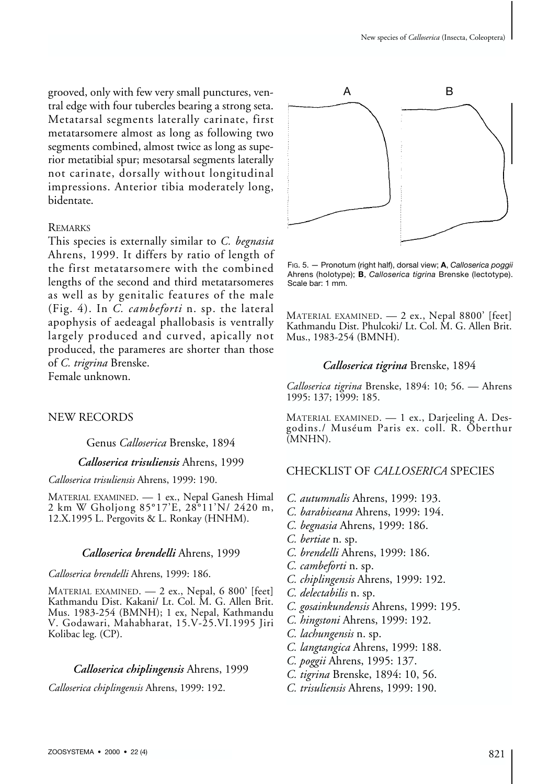grooved, only with few very small punctures, ventral edge with four tubercles bearing a strong seta. Metatarsal segments laterally carinate, first metatarsomere almost as long as following two segments combined, almost twice as long as superior metatibial spur; mesotarsal segments laterally not carinate, dorsally without longitudinal impressions. Anterior tibia moderately long, bidentate.

#### REMARKS

This species is externally similar to *C. begnasia* Ahrens, 1999. It differs by ratio of length of the first metatarsomere with the combined lengths of the second and third metatarsomeres as well as by genitalic features of the male (Fig. 4). In *C. cambeforti* n. sp. the lateral apophysis of aedeagal phallobasis is ventrally largely produced and curved, apically not produced, the parameres are shorter than those of *C. trigrina* Brenske. Female unknown.

### NEW RECORDS

Genus *Calloserica* Brenske, 1894

#### *Calloserica trisuliensis* Ahrens, 1999

*Calloserica trisuliensis* Ahrens, 1999: 190.

MATERIAL EXAMINED. — 1 ex., Nepal Ganesh Himal 2 kmW Gholjong 85°17'E, 28°11'N/ 2420 m, 12.X.1995 L. Pergovits & L. Ronkay (HNHM).

#### *Calloserica brendelli* Ahrens, 1999

*Calloserica brendelli* Ahrens, 1999: 186.

MATERIAL EXAMINED. — 2 ex., Nepal, 6 800' [feet] Kathmandu Dist. Kakani/ Lt. Col. M. G. Allen Brit. Mus. 1983-254 (BMNH); 1 ex, Nepal, Kathmandu V. Godawari, Mahabharat, 15.V-25.VI.1995 Jiri Kolibac leg. (CP).

#### *Calloserica chiplingensis* Ahrens, 1999

*Calloserica chiplingensis* Ahrens, 1999: 192.



FIG. 5. — Pronotum (right half), dorsal view; **A**, *Calloserica poggii* Ahrens (holotype); **B**, *Calloserica tigrina* Brenske (lectotype). Scale bar: 1 mm.

MATERIAL EXAMINED. — 2 ex., Nepal 8800' [feet] Kathmandu Dist. Phulcoki/ Lt. Col. M. G. Allen Brit. Mus., 1983-254 (BMNH).

### *Calloserica tigrina* Brenske, 1894

*Calloserica tigrina* Brenske, 1894: 10; 56. — Ahrens 1995: 137; 1999: 185.

MATERIAL EXAMINED. — 1 ex., Darjeeling A. Desgodins./ Muséum Paris ex. coll. R. Oberthur (MNHN).

### CHECKLIST OF *CALLOSERICA* SPECIES

- *C. autumnalis* Ahrens, 1999: 193.
- *C. barabiseana* Ahrens, 1999: 194.
- *C. begnasia* Ahrens, 1999: 186.
- *C. bertiae* n. sp.
- *C. brendelli* Ahrens, 1999: 186.
- *C. cambeforti* n. sp.
- *C. chiplingensis* Ahrens, 1999: 192.
- *C. delectabilis* n. sp.
- *C. gosainkundensis* Ahrens, 1999: 195.
- *C. hingstoni* Ahrens, 1999: 192.
- *C. lachungensis* n. sp.
- *C. langtangica* Ahrens, 1999: 188.
- *C. poggii* Ahrens, 1995: 137.
- *C. tigrina* Brenske, 1894: 10, 56.
- *C. trisuliensis* Ahrens, 1999: 190.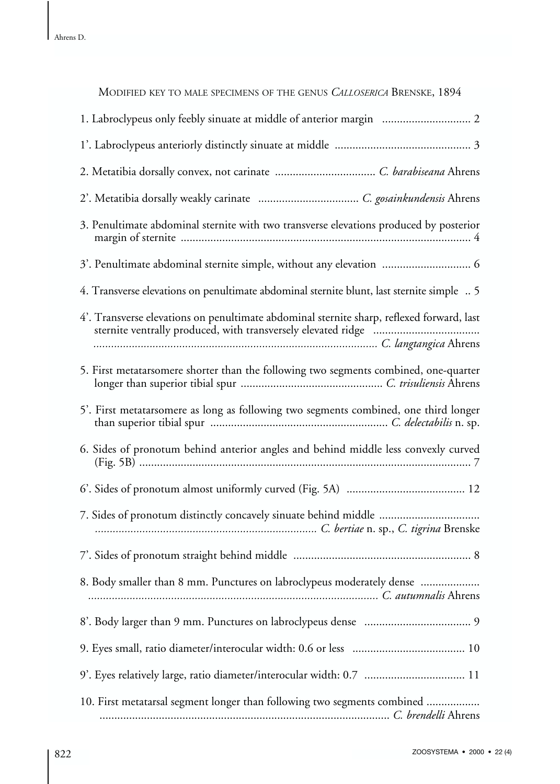| MODIFIED KEY TO MALE SPECIMENS OF THE GENUS CALLOSERICA BRENSKE, 1894                     |
|-------------------------------------------------------------------------------------------|
| 1. Labroclypeus only feebly sinuate at middle of anterior margin  2                       |
|                                                                                           |
|                                                                                           |
|                                                                                           |
| 3. Penultimate abdominal sternite with two transverse elevations produced by posterior    |
| 3'. Penultimate abdominal sternite simple, without any elevation  6                       |
| 4. Transverse elevations on penultimate abdominal sternite blunt, last sternite simple  5 |
| 4'. Transverse elevations on penultimate abdominal sternite sharp, reflexed forward, last |
| 5. First metatarsomere shorter than the following two segments combined, one-quarter      |
| 5'. First metatarsomere as long as following two segments combined, one third longer      |
| 6. Sides of pronotum behind anterior angles and behind middle less convexly curved        |
|                                                                                           |
|                                                                                           |
|                                                                                           |
| 8. Body smaller than 8 mm. Punctures on labroclypeus moderately dense                     |
|                                                                                           |
|                                                                                           |
|                                                                                           |
| 10. First metatarsal segment longer than following two segments combined                  |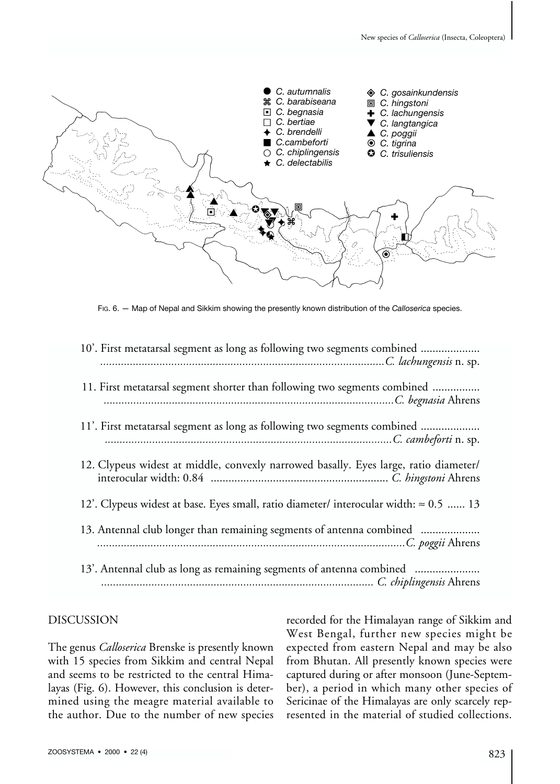

FIG. 6. — Map of Nepal and Sikkim showing the presently known distribution of the *Calloserica* species.

| 10'. First metatarsal segment as long as following two segments combined                     |
|----------------------------------------------------------------------------------------------|
| 11. First metatarsal segment shorter than following two segments combined                    |
| 11'. First metatarsal segment as long as following two segments combined                     |
| 12. Clypeus widest at middle, convexly narrowed basally. Eyes large, ratio diameter/         |
| 12'. Clypeus widest at base. Eyes small, ratio diameter/ interocular width: $\approx 0.5$ 13 |
| 13. Antennal club longer than remaining segments of antenna combined                         |
| 13'. Antennal club as long as remaining segments of antenna combined                         |

### DISCUSSION

The genus *Calloserica* Brenske is presently known with 15 species from Sikkim and central Nepal and seems to be restricted to the central Himalayas (Fig. 6). However, this conclusion is determined using the meagre material available to the author. Due to the number of new species

recorded for the Himalayan range of Sikkim and West Bengal, further new species might be expected from eastern Nepal and may be also from Bhutan. All presently known species were captured during or after monsoon (June-September), a period in which many other species of Sericinae of the Himalayas are only scarcely represented in the material of studied collections.